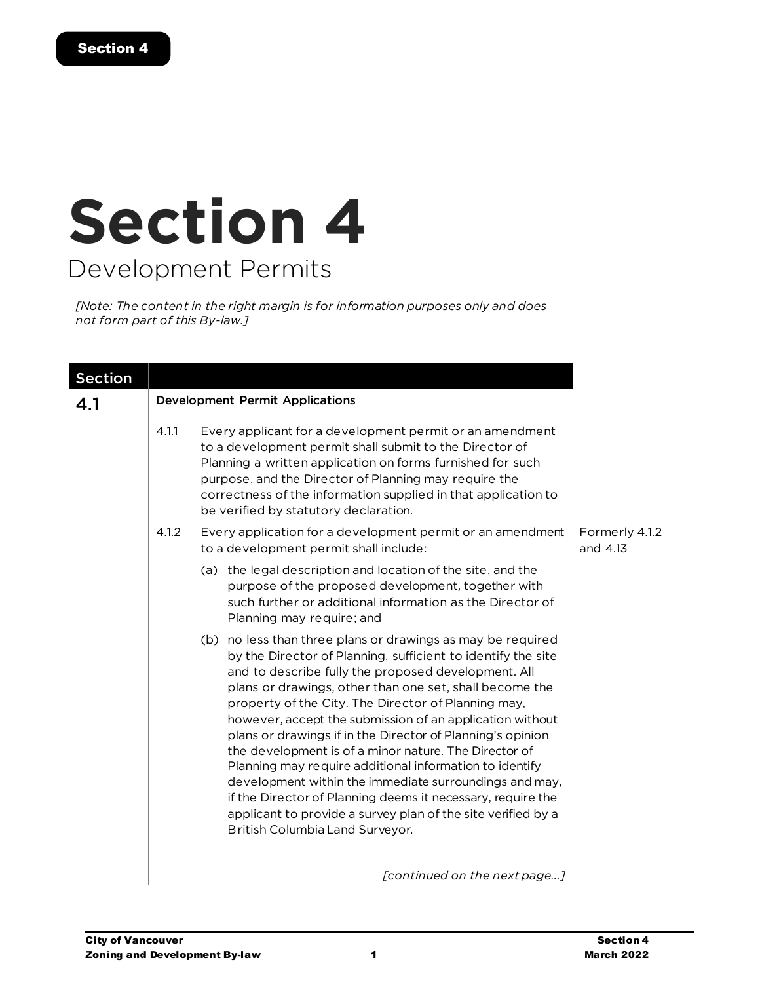# **Section 4** Development Permits

*[Note: The content in the right margin is for information purposes only and does not form part of this By-law.]*

| <b>Section</b> |       |                                                                                                                                                                                                                                                                                                                                                                                                                                                                                                                                                                                                                                                                                                                                                                                |                            |  |  |
|----------------|-------|--------------------------------------------------------------------------------------------------------------------------------------------------------------------------------------------------------------------------------------------------------------------------------------------------------------------------------------------------------------------------------------------------------------------------------------------------------------------------------------------------------------------------------------------------------------------------------------------------------------------------------------------------------------------------------------------------------------------------------------------------------------------------------|----------------------------|--|--|
| 4.1            |       | <b>Development Permit Applications</b>                                                                                                                                                                                                                                                                                                                                                                                                                                                                                                                                                                                                                                                                                                                                         |                            |  |  |
|                | 4.1.1 | Every applicant for a development permit or an amendment<br>to a development permit shall submit to the Director of<br>Planning a written application on forms furnished for such<br>purpose, and the Director of Planning may require the<br>correctness of the information supplied in that application to<br>be verified by statutory declaration.                                                                                                                                                                                                                                                                                                                                                                                                                          |                            |  |  |
|                | 4.1.2 | Every application for a development permit or an amendment<br>to a development permit shall include:                                                                                                                                                                                                                                                                                                                                                                                                                                                                                                                                                                                                                                                                           | Formerly 4.1.2<br>and 4.13 |  |  |
|                |       | (a) the legal description and location of the site, and the<br>purpose of the proposed development, together with<br>such further or additional information as the Director of<br>Planning may require; and                                                                                                                                                                                                                                                                                                                                                                                                                                                                                                                                                                    |                            |  |  |
|                |       | (b) no less than three plans or drawings as may be required<br>by the Director of Planning, sufficient to identify the site<br>and to describe fully the proposed development. All<br>plans or drawings, other than one set, shall become the<br>property of the City. The Director of Planning may,<br>however, accept the submission of an application without<br>plans or drawings if in the Director of Planning's opinion<br>the development is of a minor nature. The Director of<br>Planning may require additional information to identify<br>development within the immediate surroundings and may,<br>if the Director of Planning deems it necessary, require the<br>applicant to provide a survey plan of the site verified by a<br>British Columbia Land Surveyor. |                            |  |  |
|                |       | [continued on the next page]                                                                                                                                                                                                                                                                                                                                                                                                                                                                                                                                                                                                                                                                                                                                                   |                            |  |  |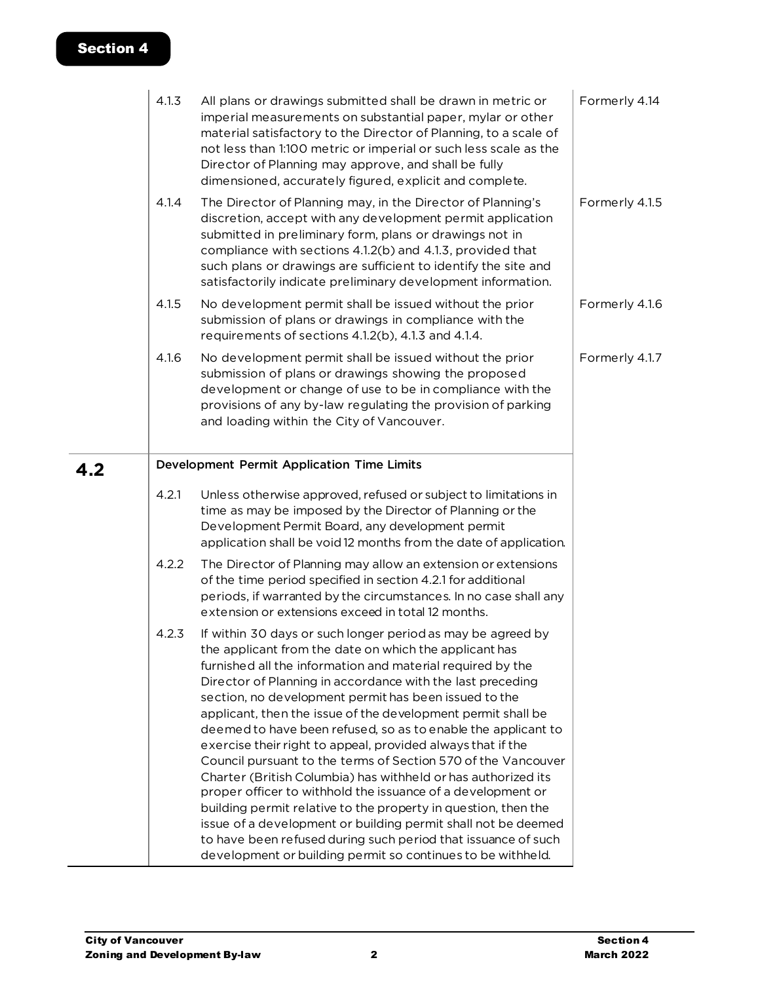|     | 4.1.3<br>4.1.4 | All plans or drawings submitted shall be drawn in metric or<br>imperial measurements on substantial paper, mylar or other<br>material satisfactory to the Director of Planning, to a scale of<br>not less than 1:100 metric or imperial or such less scale as the<br>Director of Planning may approve, and shall be fully<br>dimensioned, accurately figured, explicit and complete.<br>The Director of Planning may, in the Director of Planning's                                                                                                                                                                                                                                                                                                                                                                                                                                                                                                                            | Formerly 4.14<br>Formerly 4.1.5 |
|-----|----------------|--------------------------------------------------------------------------------------------------------------------------------------------------------------------------------------------------------------------------------------------------------------------------------------------------------------------------------------------------------------------------------------------------------------------------------------------------------------------------------------------------------------------------------------------------------------------------------------------------------------------------------------------------------------------------------------------------------------------------------------------------------------------------------------------------------------------------------------------------------------------------------------------------------------------------------------------------------------------------------|---------------------------------|
|     |                | discretion, accept with any development permit application<br>submitted in preliminary form, plans or drawings not in<br>compliance with sections 4.1.2(b) and 4.1.3, provided that<br>such plans or drawings are sufficient to identify the site and<br>satisfactorily indicate preliminary development information.                                                                                                                                                                                                                                                                                                                                                                                                                                                                                                                                                                                                                                                          |                                 |
|     | 4.1.5          | No development permit shall be issued without the prior<br>submission of plans or drawings in compliance with the<br>requirements of sections 4.1.2(b), 4.1.3 and 4.1.4.                                                                                                                                                                                                                                                                                                                                                                                                                                                                                                                                                                                                                                                                                                                                                                                                       | Formerly 4.1.6                  |
|     | 4.1.6          | No development permit shall be issued without the prior<br>submission of plans or drawings showing the proposed<br>development or change of use to be in compliance with the<br>provisions of any by-law regulating the provision of parking<br>and loading within the City of Vancouver.                                                                                                                                                                                                                                                                                                                                                                                                                                                                                                                                                                                                                                                                                      | Formerly 4.1.7                  |
| 4.2 |                | Development Permit Application Time Limits                                                                                                                                                                                                                                                                                                                                                                                                                                                                                                                                                                                                                                                                                                                                                                                                                                                                                                                                     |                                 |
|     | 4.2.1          | Unless otherwise approved, refused or subject to limitations in<br>time as may be imposed by the Director of Planning or the<br>Development Permit Board, any development permit<br>application shall be void 12 months from the date of application.                                                                                                                                                                                                                                                                                                                                                                                                                                                                                                                                                                                                                                                                                                                          |                                 |
|     | 4.2.2          | The Director of Planning may allow an extension or extensions<br>of the time period specified in section 4.2.1 for additional<br>periods, if warranted by the circumstances. In no case shall any<br>extension or extensions exceed in total 12 months.                                                                                                                                                                                                                                                                                                                                                                                                                                                                                                                                                                                                                                                                                                                        |                                 |
|     | 4.2.3          | If within 30 days or such longer period as may be agreed by<br>the applicant from the date on which the applicant has<br>furnished all the information and material required by the<br>Director of Planning in accordance with the last preceding<br>section, no development permit has been issued to the<br>applicant, then the issue of the development permit shall be<br>deemed to have been refused, so as to enable the applicant to<br>exercise their right to appeal, provided always that if the<br>Council pursuant to the terms of Section 570 of the Vancouver<br>Charter (British Columbia) has withheld or has authorized its<br>proper officer to withhold the issuance of a development or<br>building permit relative to the property in question, then the<br>issue of a development or building permit shall not be deemed<br>to have been refused during such period that issuance of such<br>development or building permit so continues to be withheld. |                                 |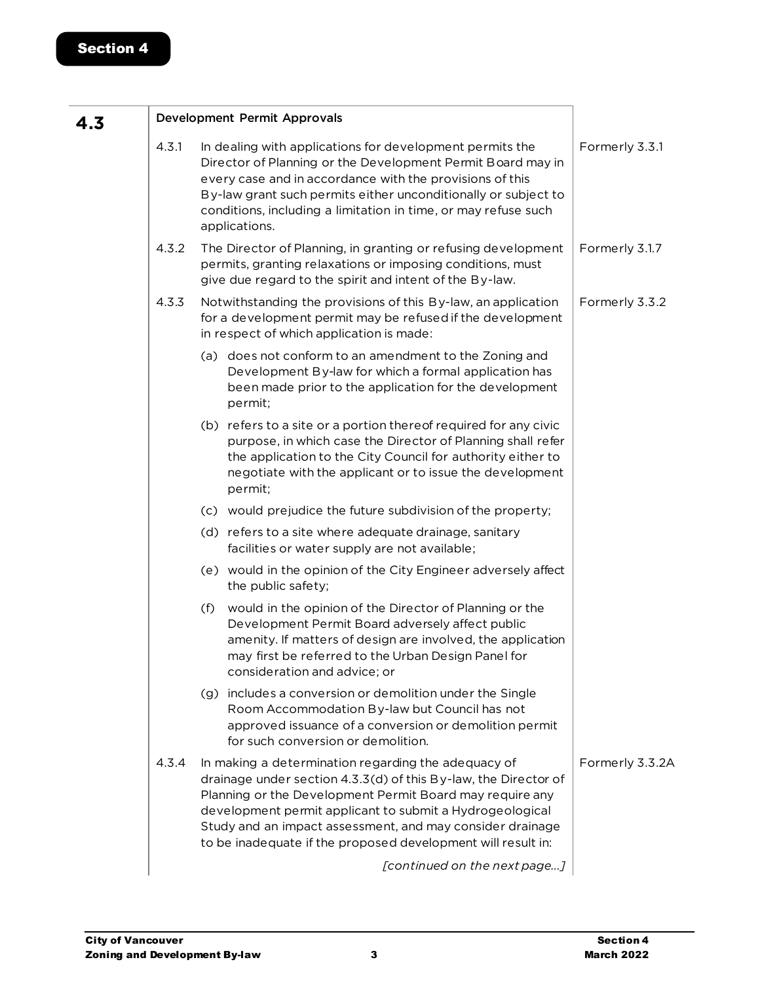| 4.3 |       |     | Development Permit Approvals                                                                                                                                                                                                                                                                                                                                                |                 |
|-----|-------|-----|-----------------------------------------------------------------------------------------------------------------------------------------------------------------------------------------------------------------------------------------------------------------------------------------------------------------------------------------------------------------------------|-----------------|
|     | 4.3.1 |     | In dealing with applications for development permits the<br>Director of Planning or the Development Permit Board may in<br>every case and in accordance with the provisions of this<br>By-law grant such permits either unconditionally or subject to<br>conditions, including a limitation in time, or may refuse such<br>applications.                                    | Formerly 3.3.1  |
|     | 4.3.2 |     | The Director of Planning, in granting or refusing development<br>permits, granting relaxations or imposing conditions, must<br>give due regard to the spirit and intent of the By-law.                                                                                                                                                                                      | Formerly 3.1.7  |
|     | 4.3.3 |     | Notwithstanding the provisions of this By-law, an application<br>for a development permit may be refused if the development<br>in respect of which application is made:                                                                                                                                                                                                     | Formerly 3.3.2  |
|     |       |     | (a) does not conform to an amendment to the Zoning and<br>Development By-law for which a formal application has<br>been made prior to the application for the development<br>permit;                                                                                                                                                                                        |                 |
|     |       |     | (b) refers to a site or a portion there of required for any civic<br>purpose, in which case the Director of Planning shall refer<br>the application to the City Council for authority either to<br>negotiate with the applicant or to issue the development<br>permit;                                                                                                      |                 |
|     |       |     | (c) would prejudice the future subdivision of the property;                                                                                                                                                                                                                                                                                                                 |                 |
|     |       |     | (d) refers to a site where adequate drainage, sanitary<br>facilities or water supply are not available;                                                                                                                                                                                                                                                                     |                 |
|     |       |     | (e) would in the opinion of the City Engineer adversely affect<br>the public safety;                                                                                                                                                                                                                                                                                        |                 |
|     |       | (f) | would in the opinion of the Director of Planning or the<br>Development Permit Board adversely affect public<br>amenity. If matters of design are involved, the application<br>may first be referred to the Urban Design Panel for<br>consideration and advice; or                                                                                                           |                 |
|     |       |     | (g) includes a conversion or demolition under the Single<br>Room Accommodation By-law but Council has not<br>approved issuance of a conversion or demolition permit<br>for such conversion or demolition.                                                                                                                                                                   |                 |
|     | 4.3.4 |     | In making a determination regarding the adequacy of<br>drainage under section 4.3.3(d) of this By-law, the Director of<br>Planning or the Development Permit Board may require any<br>development permit applicant to submit a Hydrogeological<br>Study and an impact assessment, and may consider drainage<br>to be inadequate if the proposed development will result in: | Formerly 3.3.2A |
|     |       |     | [continued on the next page]                                                                                                                                                                                                                                                                                                                                                |                 |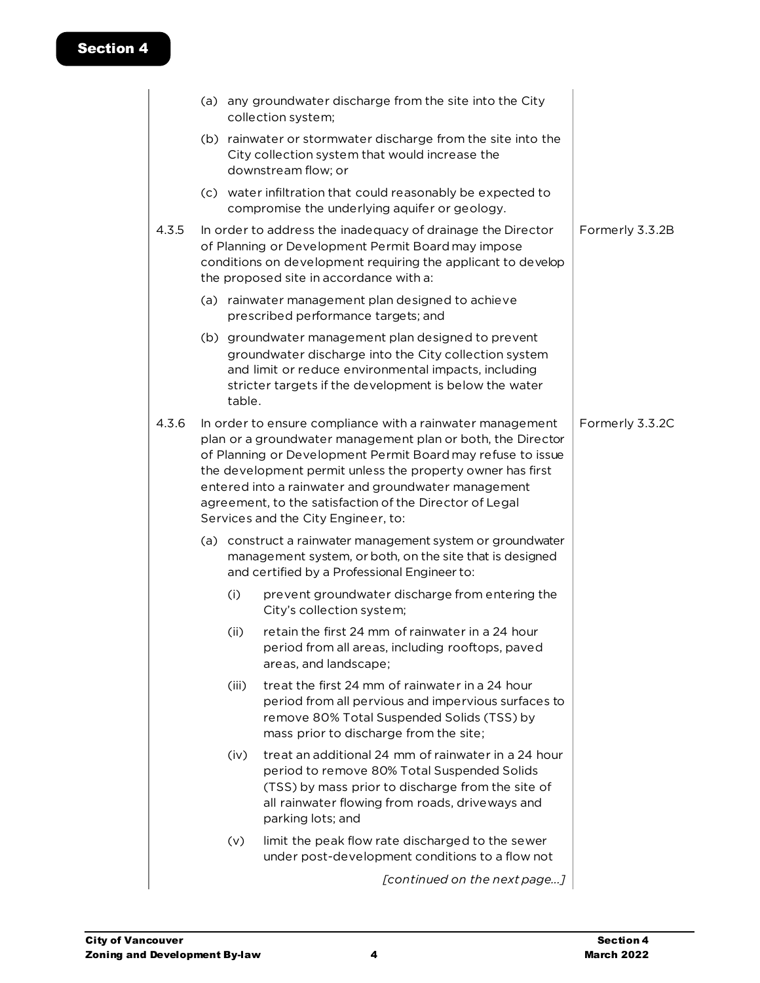|       |        | (a) any groundwater discharge from the site into the City<br>collection system;                                                                                                                                                                                                                                                                                                                                |                 |
|-------|--------|----------------------------------------------------------------------------------------------------------------------------------------------------------------------------------------------------------------------------------------------------------------------------------------------------------------------------------------------------------------------------------------------------------------|-----------------|
|       |        | (b) rainwater or stormwater discharge from the site into the<br>City collection system that would increase the<br>downstream flow; or                                                                                                                                                                                                                                                                          |                 |
|       |        | (c) water infiltration that could reasonably be expected to<br>compromise the underlying aquifer or geology.                                                                                                                                                                                                                                                                                                   |                 |
| 4.3.5 |        | In order to address the inadequacy of drainage the Director<br>of Planning or Development Permit Board may impose<br>conditions on development requiring the applicant to develop<br>the proposed site in accordance with a:                                                                                                                                                                                   | Formerly 3.3.2B |
|       |        | (a) rainwater management plan designed to achieve<br>prescribed performance targets; and                                                                                                                                                                                                                                                                                                                       |                 |
|       | table. | (b) groundwater management plan designed to prevent<br>groundwater discharge into the City collection system<br>and limit or reduce environmental impacts, including<br>stricter targets if the development is below the water                                                                                                                                                                                 |                 |
| 4.3.6 |        | In order to ensure compliance with a rainwater management<br>plan or a groundwater management plan or both, the Director<br>of Planning or Development Permit Board may refuse to issue<br>the development permit unless the property owner has first<br>entered into a rainwater and groundwater management<br>agreement, to the satisfaction of the Director of Legal<br>Services and the City Engineer, to: | Formerly 3.3.2C |
|       |        | (a) construct a rainwater management system or groundwater<br>management system, or both, on the site that is designed<br>and certified by a Professional Engineer to:                                                                                                                                                                                                                                         |                 |
|       | (i)    | prevent groundwater discharge from entering the<br>City's collection system;                                                                                                                                                                                                                                                                                                                                   |                 |
|       | (ii)   | retain the first 24 mm of rainwater in a 24 hour<br>period from all areas, including rooftops, paved<br>areas, and landscape;                                                                                                                                                                                                                                                                                  |                 |
|       | (iii)  | treat the first 24 mm of rainwater in a 24 hour<br>period from all pervious and impervious surfaces to<br>remove 80% Total Suspended Solids (TSS) by<br>mass prior to discharge from the site;                                                                                                                                                                                                                 |                 |
|       | (iv)   | treat an additional 24 mm of rainwater in a 24 hour<br>period to remove 80% Total Suspended Solids<br>(TSS) by mass prior to discharge from the site of<br>all rainwater flowing from roads, driveways and<br>parking lots; and                                                                                                                                                                                |                 |
|       | (v)    | limit the peak flow rate discharged to the sewer<br>under post-development conditions to a flow not                                                                                                                                                                                                                                                                                                            |                 |
|       |        | [continued on the next page]                                                                                                                                                                                                                                                                                                                                                                                   |                 |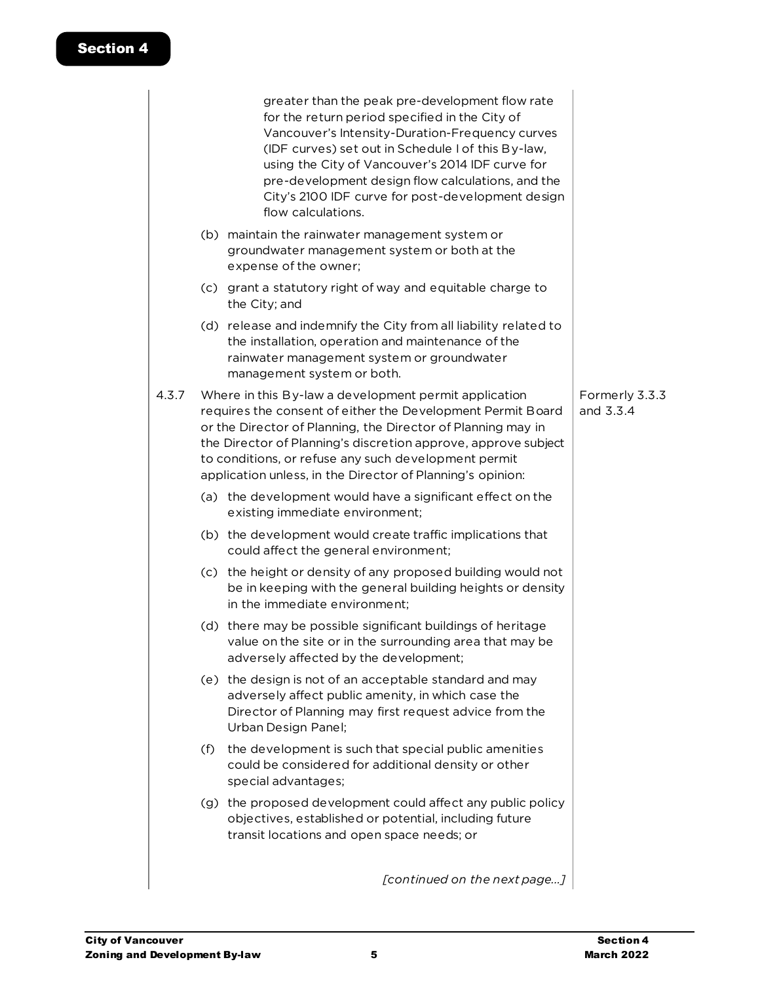|     | greater than the peak pre-development flow rate<br>for the return period specified in the City of<br>Vancouver's Intensity-Duration-Frequency curves<br>(IDF curves) set out in Schedule I of this By-law,<br>using the City of Vancouver's 2014 IDF curve for<br>pre-development design flow calculations, and the<br>City's 2100 IDF curve for post-development design<br>flow calculations. |                                                                                                                                                                                                                                                                                                                                                                                                                                                                                                                                                                                                                                                                                                                                                                                                                                                                                                                                                        |
|-----|------------------------------------------------------------------------------------------------------------------------------------------------------------------------------------------------------------------------------------------------------------------------------------------------------------------------------------------------------------------------------------------------|--------------------------------------------------------------------------------------------------------------------------------------------------------------------------------------------------------------------------------------------------------------------------------------------------------------------------------------------------------------------------------------------------------------------------------------------------------------------------------------------------------------------------------------------------------------------------------------------------------------------------------------------------------------------------------------------------------------------------------------------------------------------------------------------------------------------------------------------------------------------------------------------------------------------------------------------------------|
|     | groundwater management system or both at the<br>expense of the owner;                                                                                                                                                                                                                                                                                                                          |                                                                                                                                                                                                                                                                                                                                                                                                                                                                                                                                                                                                                                                                                                                                                                                                                                                                                                                                                        |
|     | the City; and                                                                                                                                                                                                                                                                                                                                                                                  |                                                                                                                                                                                                                                                                                                                                                                                                                                                                                                                                                                                                                                                                                                                                                                                                                                                                                                                                                        |
|     | the installation, operation and maintenance of the<br>rainwater management system or groundwater<br>management system or both.                                                                                                                                                                                                                                                                 |                                                                                                                                                                                                                                                                                                                                                                                                                                                                                                                                                                                                                                                                                                                                                                                                                                                                                                                                                        |
|     |                                                                                                                                                                                                                                                                                                                                                                                                | Formerly 3.3.3<br>and 3.3.4                                                                                                                                                                                                                                                                                                                                                                                                                                                                                                                                                                                                                                                                                                                                                                                                                                                                                                                            |
|     | existing immediate environment;                                                                                                                                                                                                                                                                                                                                                                |                                                                                                                                                                                                                                                                                                                                                                                                                                                                                                                                                                                                                                                                                                                                                                                                                                                                                                                                                        |
|     | could affect the general environment;                                                                                                                                                                                                                                                                                                                                                          |                                                                                                                                                                                                                                                                                                                                                                                                                                                                                                                                                                                                                                                                                                                                                                                                                                                                                                                                                        |
|     | be in keeping with the general building heights or density<br>in the immediate environment;                                                                                                                                                                                                                                                                                                    |                                                                                                                                                                                                                                                                                                                                                                                                                                                                                                                                                                                                                                                                                                                                                                                                                                                                                                                                                        |
|     | value on the site or in the surrounding area that may be<br>adversely affected by the development;                                                                                                                                                                                                                                                                                             |                                                                                                                                                                                                                                                                                                                                                                                                                                                                                                                                                                                                                                                                                                                                                                                                                                                                                                                                                        |
|     | adversely affect public amenity, in which case the<br>Director of Planning may first request advice from the<br>Urban Design Panel;                                                                                                                                                                                                                                                            |                                                                                                                                                                                                                                                                                                                                                                                                                                                                                                                                                                                                                                                                                                                                                                                                                                                                                                                                                        |
| (f) | the development is such that special public amenities<br>could be considered for additional density or other<br>special advantages;                                                                                                                                                                                                                                                            |                                                                                                                                                                                                                                                                                                                                                                                                                                                                                                                                                                                                                                                                                                                                                                                                                                                                                                                                                        |
|     | objectives, established or potential, including future<br>transit locations and open space needs; or                                                                                                                                                                                                                                                                                           |                                                                                                                                                                                                                                                                                                                                                                                                                                                                                                                                                                                                                                                                                                                                                                                                                                                                                                                                                        |
|     | [continued on the next page]                                                                                                                                                                                                                                                                                                                                                                   |                                                                                                                                                                                                                                                                                                                                                                                                                                                                                                                                                                                                                                                                                                                                                                                                                                                                                                                                                        |
|     |                                                                                                                                                                                                                                                                                                                                                                                                | (b) maintain the rainwater management system or<br>(c) grant a statutory right of way and equitable charge to<br>(d) release and indemnify the City from all liability related to<br>Where in this By-law a development permit application<br>requires the consent of either the Development Permit Board<br>or the Director of Planning, the Director of Planning may in<br>the Director of Planning's discretion approve, approve subject<br>to conditions, or refuse any such development permit<br>application unless, in the Director of Planning's opinion:<br>(a) the development would have a significant effect on the<br>(b) the development would create traffic implications that<br>(c) the height or density of any proposed building would not<br>(d) there may be possible significant buildings of heritage<br>(e) the design is not of an acceptable standard and may<br>(g) the proposed development could affect any public policy |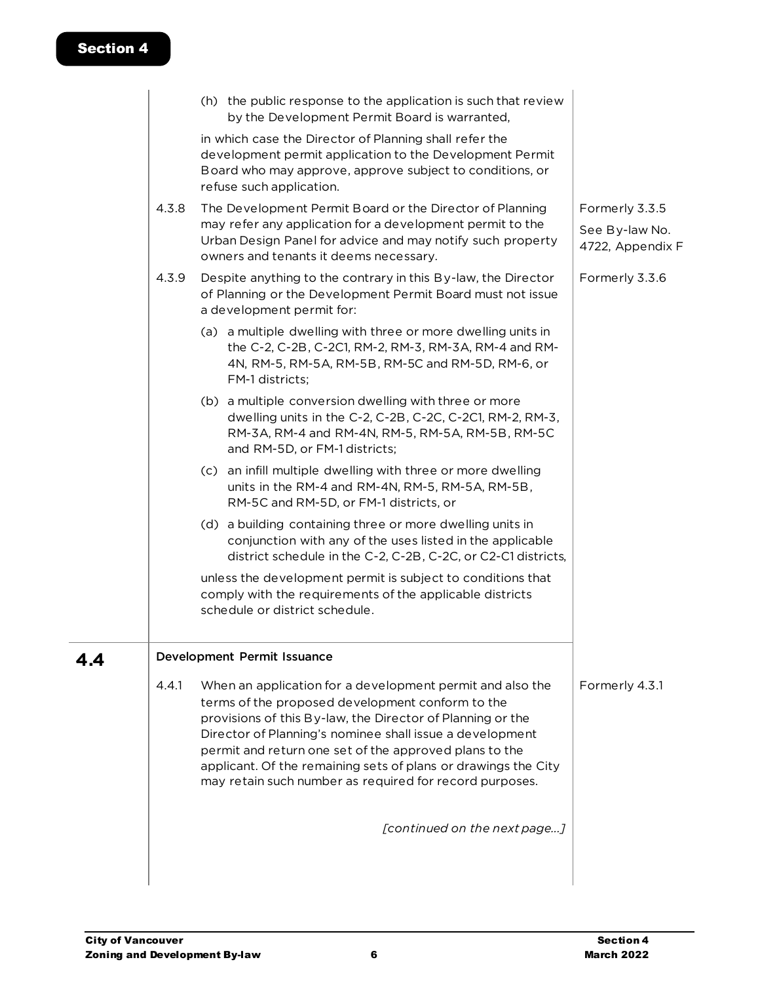|     |       | (h) the public response to the application is such that review<br>by the Development Permit Board is warranted,                                                                                                                                                                                                                                                                                                                |                                                      |
|-----|-------|--------------------------------------------------------------------------------------------------------------------------------------------------------------------------------------------------------------------------------------------------------------------------------------------------------------------------------------------------------------------------------------------------------------------------------|------------------------------------------------------|
|     |       | in which case the Director of Planning shall refer the<br>development permit application to the Development Permit<br>Board who may approve, approve subject to conditions, or<br>refuse such application.                                                                                                                                                                                                                     |                                                      |
|     | 4.3.8 | The Development Permit Board or the Director of Planning<br>may refer any application for a development permit to the<br>Urban Design Panel for advice and may notify such property<br>owners and tenants it deems necessary.                                                                                                                                                                                                  | Formerly 3.3.5<br>See By-law No.<br>4722, Appendix F |
|     | 4.3.9 | Despite anything to the contrary in this By-law, the Director<br>of Planning or the Development Permit Board must not issue<br>a development permit for:                                                                                                                                                                                                                                                                       | Formerly 3.3.6                                       |
|     |       | (a) a multiple dwelling with three or more dwelling units in<br>the C-2, C-2B, C-2C1, RM-2, RM-3, RM-3A, RM-4 and RM-<br>4N, RM-5, RM-5A, RM-5B, RM-5C and RM-5D, RM-6, or<br>FM-1 districts;                                                                                                                                                                                                                                  |                                                      |
|     |       | (b) a multiple conversion dwelling with three or more<br>dwelling units in the C-2, C-2B, C-2C, C-2C1, RM-2, RM-3,<br>RM-3A, RM-4 and RM-4N, RM-5, RM-5A, RM-5B, RM-5C<br>and RM-5D, or FM-1 districts;                                                                                                                                                                                                                        |                                                      |
|     |       | (c) an infill multiple dwelling with three or more dwelling<br>units in the RM-4 and RM-4N, RM-5, RM-5A, RM-5B,<br>RM-5C and RM-5D, or FM-1 districts, or                                                                                                                                                                                                                                                                      |                                                      |
|     |       | (d) a building containing three or more dwelling units in<br>conjunction with any of the uses listed in the applicable<br>district schedule in the C-2, C-2B, C-2C, or C2-C1 districts,                                                                                                                                                                                                                                        |                                                      |
|     |       | unless the development permit is subject to conditions that<br>comply with the requirements of the applicable districts<br>schedule or district schedule.                                                                                                                                                                                                                                                                      |                                                      |
| 4.4 |       | Development Permit Issuance                                                                                                                                                                                                                                                                                                                                                                                                    |                                                      |
|     | 4.4.1 | When an application for a development permit and also the<br>terms of the proposed development conform to the<br>provisions of this By-law, the Director of Planning or the<br>Director of Planning's nominee shall issue a development<br>permit and return one set of the approved plans to the<br>applicant. Of the remaining sets of plans or drawings the City<br>may retain such number as required for record purposes. | Formerly 4.3.1                                       |
|     |       | [continued on the next page]                                                                                                                                                                                                                                                                                                                                                                                                   |                                                      |
|     |       |                                                                                                                                                                                                                                                                                                                                                                                                                                |                                                      |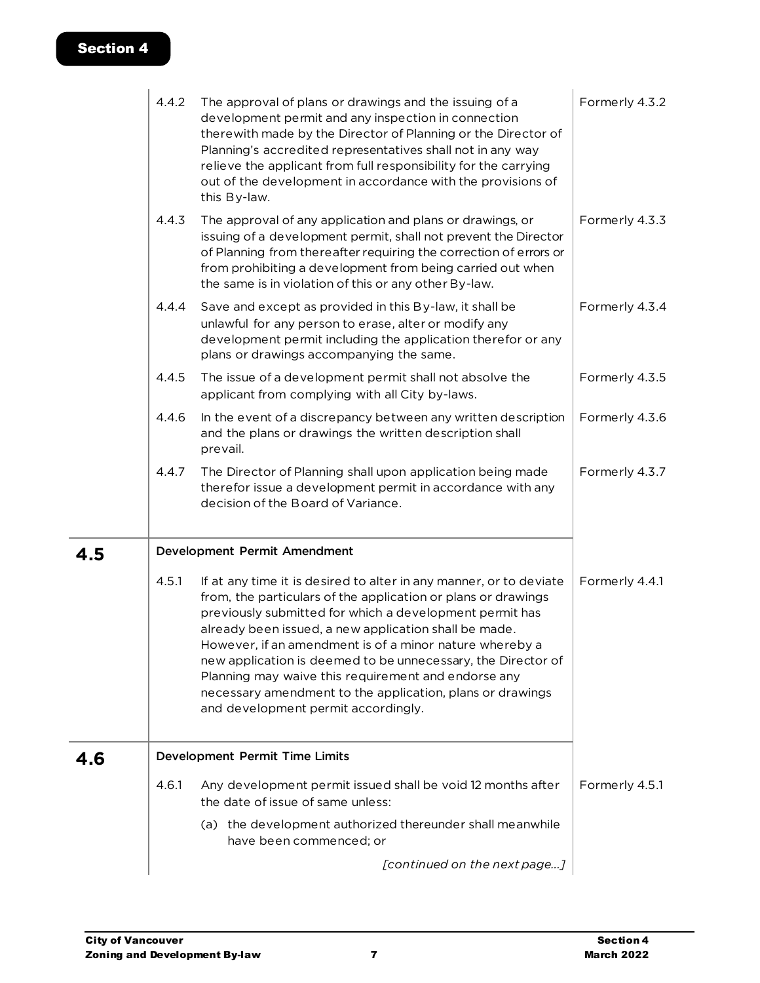|     | 4.4.2 | The approval of plans or drawings and the issuing of a<br>development permit and any inspection in connection<br>therewith made by the Director of Planning or the Director of<br>Planning's accredited representatives shall not in any way<br>relieve the applicant from full responsibility for the carrying<br>out of the development in accordance with the provisions of<br>this By-law.                                                                                                                                                | Formerly 4.3.2 |
|-----|-------|-----------------------------------------------------------------------------------------------------------------------------------------------------------------------------------------------------------------------------------------------------------------------------------------------------------------------------------------------------------------------------------------------------------------------------------------------------------------------------------------------------------------------------------------------|----------------|
|     | 4.4.3 | The approval of any application and plans or drawings, or<br>issuing of a development permit, shall not prevent the Director<br>of Planning from thereafter requiring the correction of errors or<br>from prohibiting a development from being carried out when<br>the same is in violation of this or any other By-law.                                                                                                                                                                                                                      | Formerly 4.3.3 |
|     | 4.4.4 | Save and except as provided in this By-law, it shall be<br>unlawful for any person to erase, alter or modify any<br>development permit including the application therefor or any<br>plans or drawings accompanying the same.                                                                                                                                                                                                                                                                                                                  | Formerly 4.3.4 |
|     | 4.4.5 | The issue of a development permit shall not absolve the<br>applicant from complying with all City by-laws.                                                                                                                                                                                                                                                                                                                                                                                                                                    | Formerly 4.3.5 |
|     | 4.4.6 | In the event of a discrepancy between any written description<br>and the plans or drawings the written description shall<br>prevail.                                                                                                                                                                                                                                                                                                                                                                                                          | Formerly 4.3.6 |
|     | 4.4.7 | The Director of Planning shall upon application being made<br>therefor issue a development permit in accordance with any<br>decision of the Board of Variance.                                                                                                                                                                                                                                                                                                                                                                                | Formerly 4.3.7 |
| 4.5 |       | Development Permit Amendment                                                                                                                                                                                                                                                                                                                                                                                                                                                                                                                  |                |
|     | 4.5.1 | If at any time it is desired to alter in any manner, or to deviate<br>from, the particulars of the application or plans or drawings<br>previously submitted for which a development permit has<br>already been issued, a new application shall be made.<br>However, if an amendment is of a minor nature whereby a<br>new application is deemed to be unnecessary, the Director of<br>Planning may waive this requirement and endorse any<br>necessary amendment to the application, plans or drawings<br>and development permit accordingly. | Formerly 4.4.1 |
| 4.6 |       | Development Permit Time Limits                                                                                                                                                                                                                                                                                                                                                                                                                                                                                                                |                |
|     | 4.6.1 | Any development permit issued shall be void 12 months after<br>the date of issue of same unless:                                                                                                                                                                                                                                                                                                                                                                                                                                              | Formerly 4.5.1 |
|     |       | (a) the development authorized thereunder shall meanwhile<br>have been commenced; or                                                                                                                                                                                                                                                                                                                                                                                                                                                          |                |
|     |       |                                                                                                                                                                                                                                                                                                                                                                                                                                                                                                                                               |                |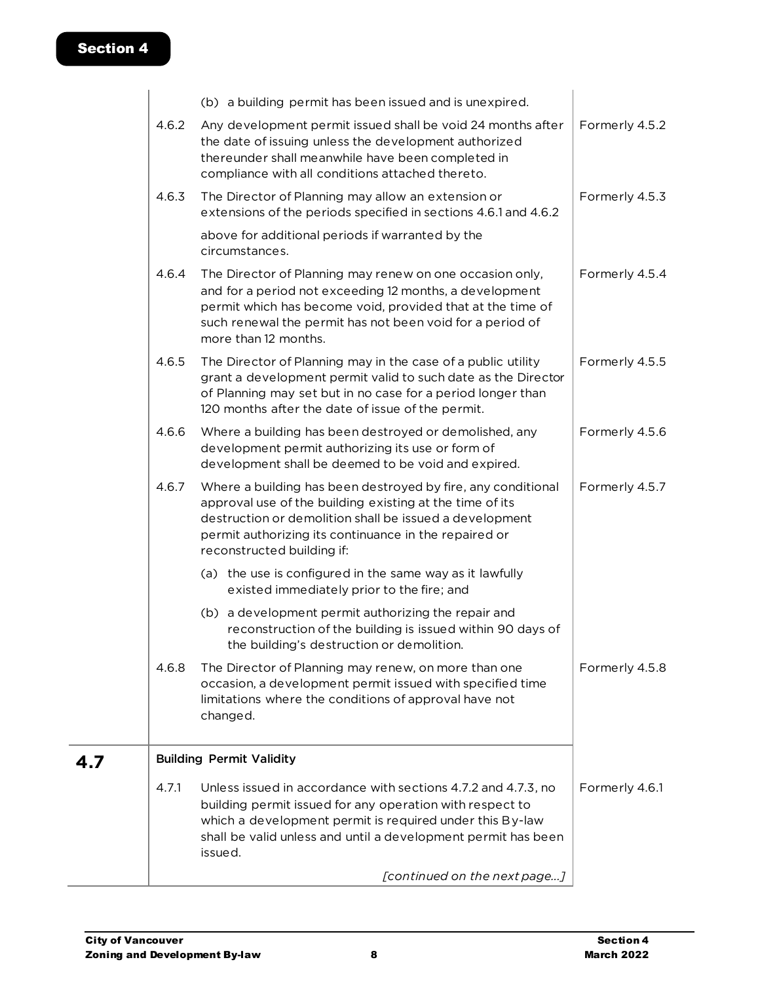|       | (b) a building permit has been issued and is unexpired.                                                                                                                                                                                                                    |                |
|-------|----------------------------------------------------------------------------------------------------------------------------------------------------------------------------------------------------------------------------------------------------------------------------|----------------|
| 4.6.2 | Any development permit issued shall be void 24 months after<br>the date of issuing unless the development authorized<br>thereunder shall meanwhile have been completed in<br>compliance with all conditions attached thereto.                                              | Formerly 4.5.2 |
| 4.6.3 | The Director of Planning may allow an extension or<br>extensions of the periods specified in sections 4.6.1 and 4.6.2                                                                                                                                                      | Formerly 4.5.3 |
|       | above for additional periods if warranted by the<br>circumstances.                                                                                                                                                                                                         |                |
| 4.6.4 | The Director of Planning may renew on one occasion only,<br>and for a period not exceeding 12 months, a development<br>permit which has become void, provided that at the time of<br>such renewal the permit has not been void for a period of<br>more than 12 months.     | Formerly 4.5.4 |
| 4.6.5 | The Director of Planning may in the case of a public utility<br>grant a development permit valid to such date as the Director<br>of Planning may set but in no case for a period longer than<br>120 months after the date of issue of the permit.                          | Formerly 4.5.5 |
| 4.6.6 | Where a building has been destroyed or demolished, any<br>development permit authorizing its use or form of<br>development shall be deemed to be void and expired.                                                                                                         | Formerly 4.5.6 |
| 4.6.7 | Where a building has been destroyed by fire, any conditional<br>approval use of the building existing at the time of its<br>destruction or demolition shall be issued a development<br>permit authorizing its continuance in the repaired or<br>reconstructed building if: | Formerly 4.5.7 |
|       | (a) the use is configured in the same way as it lawfully<br>existed immediately prior to the fire; and                                                                                                                                                                     |                |
|       | (b) a development permit authorizing the repair and<br>reconstruction of the building is issued within 90 days of<br>the building's destruction or demolition.                                                                                                             |                |
| 4.6.8 | The Director of Planning may renew, on more than one<br>occasion, a development permit issued with specified time<br>limitations where the conditions of approval have not<br>changed.                                                                                     | Formerly 4.5.8 |
|       | <b>Building Permit Validity</b>                                                                                                                                                                                                                                            |                |
| 4.7.1 | Unless issued in accordance with sections 4.7.2 and 4.7.3, no<br>building permit issued for any operation with respect to<br>which a development permit is required under this By-law<br>shall be valid unless and until a development permit has been<br>issued.          | Formerly 4.6.1 |
|       | [continued on the next page]                                                                                                                                                                                                                                               |                |

**4.7**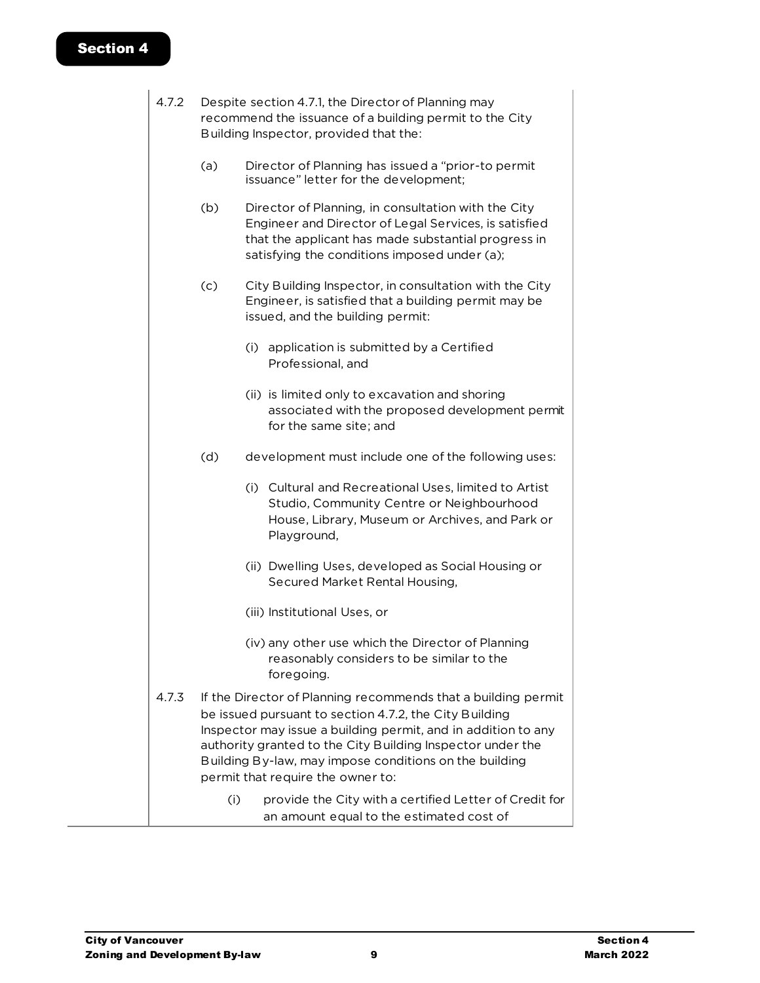| 4.7.2 |     | Despite section 4.7.1, the Director of Planning may<br>recommend the issuance of a building permit to the City<br>Building Inspector, provided that the:                                                                                                                                                                                              |
|-------|-----|-------------------------------------------------------------------------------------------------------------------------------------------------------------------------------------------------------------------------------------------------------------------------------------------------------------------------------------------------------|
|       | (a) | Director of Planning has issued a "prior-to permit<br>issuance" letter for the development;                                                                                                                                                                                                                                                           |
|       | (b) | Director of Planning, in consultation with the City<br>Engineer and Director of Legal Services, is satisfied<br>that the applicant has made substantial progress in<br>satisfying the conditions imposed under (a);                                                                                                                                   |
|       | (c) | City Building Inspector, in consultation with the City<br>Engineer, is satisfied that a building permit may be<br>issued, and the building permit:                                                                                                                                                                                                    |
|       |     | (i) application is submitted by a Certified<br>Professional, and                                                                                                                                                                                                                                                                                      |
|       |     | (ii) is limited only to excavation and shoring<br>associated with the proposed development permit<br>for the same site; and                                                                                                                                                                                                                           |
|       | (d) | development must include one of the following uses:                                                                                                                                                                                                                                                                                                   |
|       |     | (i) Cultural and Recreational Uses, limited to Artist<br>Studio, Community Centre or Neighbourhood<br>House, Library, Museum or Archives, and Park or<br>Playground,                                                                                                                                                                                  |
|       |     | (ii) Dwelling Uses, developed as Social Housing or<br>Secured Market Rental Housing,                                                                                                                                                                                                                                                                  |
|       |     | (iii) Institutional Uses, or                                                                                                                                                                                                                                                                                                                          |
|       |     | (iv) any other use which the Director of Planning<br>reasonably considers to be similar to the<br>foregoing.                                                                                                                                                                                                                                          |
| 4.7.3 |     | If the Director of Planning recommends that a building permit<br>be issued pursuant to section 4.7.2, the City Building<br>Inspector may issue a building permit, and in addition to any<br>authority granted to the City Building Inspector under the<br>Building By-law, may impose conditions on the building<br>permit that require the owner to: |
|       | (i) | provide the City with a certified Letter of Credit for<br>an amount equal to the estimated cost of                                                                                                                                                                                                                                                    |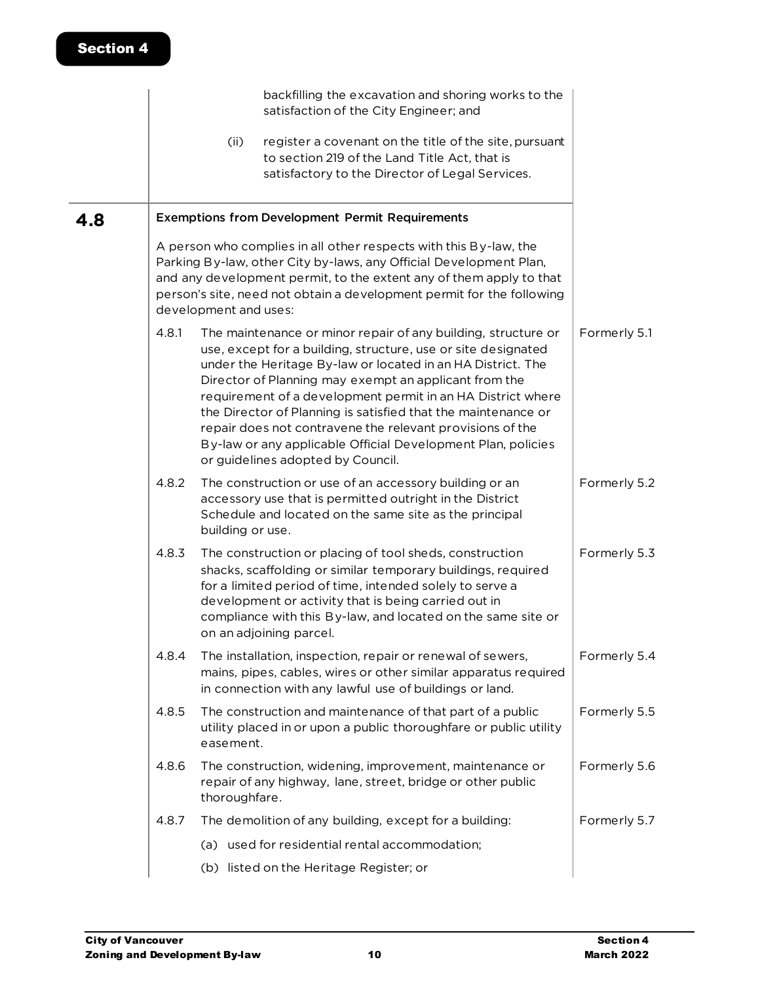|     |       |                       | backfilling the excavation and shoring works to the<br>satisfaction of the City Engineer; and                                                                                                                                                                                                                                                                                                                                                                                                                                                            |              |
|-----|-------|-----------------------|----------------------------------------------------------------------------------------------------------------------------------------------------------------------------------------------------------------------------------------------------------------------------------------------------------------------------------------------------------------------------------------------------------------------------------------------------------------------------------------------------------------------------------------------------------|--------------|
|     |       | (ii)                  | register a covenant on the title of the site, pursuant<br>to section 219 of the Land Title Act, that is<br>satisfactory to the Director of Legal Services.                                                                                                                                                                                                                                                                                                                                                                                               |              |
| 4.8 |       |                       | <b>Exemptions from Development Permit Requirements</b>                                                                                                                                                                                                                                                                                                                                                                                                                                                                                                   |              |
|     |       | development and uses: | A person who complies in all other respects with this By-law, the<br>Parking By-law, other City by-laws, any Official Development Plan,<br>and any development permit, to the extent any of them apply to that<br>person's site, need not obtain a development permit for the following                                                                                                                                                                                                                                                                  |              |
|     | 4.8.1 |                       | The maintenance or minor repair of any building, structure or<br>use, except for a building, structure, use or site designated<br>under the Heritage By-law or located in an HA District. The<br>Director of Planning may exempt an applicant from the<br>requirement of a development permit in an HA District where<br>the Director of Planning is satisfied that the maintenance or<br>repair does not contravene the relevant provisions of the<br>By-law or any applicable Official Development Plan, policies<br>or guidelines adopted by Council. | Formerly 5.1 |
|     | 4.8.2 | building or use.      | The construction or use of an accessory building or an<br>accessory use that is permitted outright in the District<br>Schedule and located on the same site as the principal                                                                                                                                                                                                                                                                                                                                                                             | Formerly 5.2 |
|     | 4.8.3 |                       | The construction or placing of tool sheds, construction<br>shacks, scaffolding or similar temporary buildings, required<br>for a limited period of time, intended solely to serve a<br>development or activity that is being carried out in<br>compliance with this By-law, and located on the same site or<br>on an adjoining parcel.                                                                                                                                                                                                                   | Formerly 5.3 |
|     | 4.8.4 |                       | The installation, inspection, repair or renewal of sewers,<br>mains, pipes, cables, wires or other similar apparatus required<br>in connection with any lawful use of buildings or land.                                                                                                                                                                                                                                                                                                                                                                 | Formerly 5.4 |
|     | 4.8.5 | easement.             | The construction and maintenance of that part of a public<br>utility placed in or upon a public thoroughfare or public utility                                                                                                                                                                                                                                                                                                                                                                                                                           | Formerly 5.5 |
|     | 4.8.6 | thoroughfare.         | The construction, widening, improvement, maintenance or<br>repair of any highway, lane, street, bridge or other public                                                                                                                                                                                                                                                                                                                                                                                                                                   | Formerly 5.6 |
|     | 4.8.7 |                       | The demolition of any building, except for a building:                                                                                                                                                                                                                                                                                                                                                                                                                                                                                                   | Formerly 5.7 |
|     |       |                       | (a) used for residential rental accommodation;                                                                                                                                                                                                                                                                                                                                                                                                                                                                                                           |              |
|     |       |                       | (b) listed on the Heritage Register; or                                                                                                                                                                                                                                                                                                                                                                                                                                                                                                                  |              |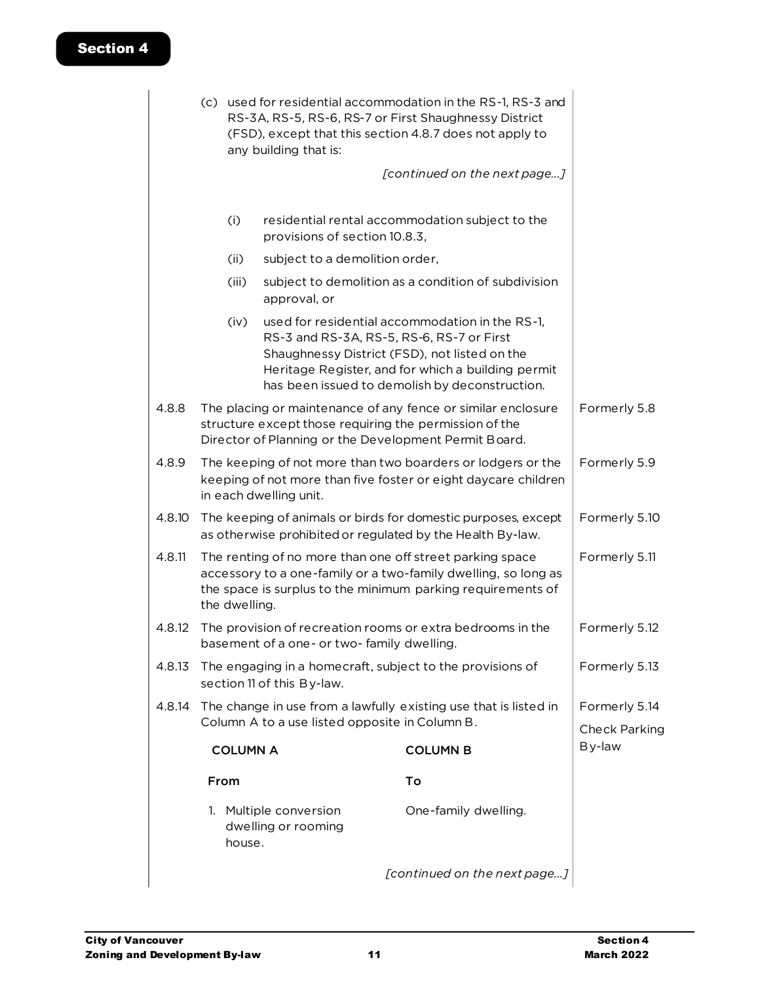|        |                                                                                                                             | (c) used for residential accommodation in the RS-1, RS-3 and<br>RS-3A, RS-5, RS-6, RS-7 or First Shaughnessy District<br>(FSD), except that this section 4.8.7 does not apply to<br>any building that is:  |                                               |                                                                                                                                                                                                                                                       |                                       |
|--------|-----------------------------------------------------------------------------------------------------------------------------|------------------------------------------------------------------------------------------------------------------------------------------------------------------------------------------------------------|-----------------------------------------------|-------------------------------------------------------------------------------------------------------------------------------------------------------------------------------------------------------------------------------------------------------|---------------------------------------|
|        |                                                                                                                             |                                                                                                                                                                                                            |                                               |                                                                                                                                                                                                                                                       |                                       |
|        |                                                                                                                             | (i)                                                                                                                                                                                                        | provisions of section 10.8.3,                 | residential rental accommodation subject to the                                                                                                                                                                                                       |                                       |
|        |                                                                                                                             | (ii)                                                                                                                                                                                                       | subject to a demolition order,                |                                                                                                                                                                                                                                                       |                                       |
|        |                                                                                                                             | (iii)                                                                                                                                                                                                      | approval, or                                  | subject to demolition as a condition of subdivision                                                                                                                                                                                                   |                                       |
|        |                                                                                                                             | (iv)                                                                                                                                                                                                       |                                               | used for residential accommodation in the RS-1,<br>RS-3 and RS-3A, RS-5, RS-6, RS-7 or First<br>Shaughnessy District (FSD), not listed on the<br>Heritage Register, and for which a building permit<br>has been issued to demolish by deconstruction. |                                       |
| 4.8.8  |                                                                                                                             |                                                                                                                                                                                                            |                                               | The placing or maintenance of any fence or similar enclosure<br>structure except those requiring the permission of the<br>Director of Planning or the Development Permit Board.                                                                       | Formerly 5.8                          |
| 4.8.9  |                                                                                                                             |                                                                                                                                                                                                            | in each dwelling unit.                        | The keeping of not more than two boarders or lodgers or the<br>keeping of not more than five foster or eight daycare children                                                                                                                         | Formerly 5.9                          |
| 4.8.10 | The keeping of animals or birds for domestic purposes, except<br>as otherwise prohibited or regulated by the Health By-law. |                                                                                                                                                                                                            |                                               |                                                                                                                                                                                                                                                       | Formerly 5.10                         |
| 4.8.11 |                                                                                                                             | The renting of no more than one off street parking space<br>accessory to a one-family or a two-family dwelling, so long as<br>the space is surplus to the minimum parking requirements of<br>the dwelling. | Formerly 5.11                                 |                                                                                                                                                                                                                                                       |                                       |
| 4.8.12 |                                                                                                                             |                                                                                                                                                                                                            | basement of a one- or two-family dwelling.    | The provision of recreation rooms or extra bedrooms in the                                                                                                                                                                                            | Formerly 5.12                         |
| 4.8.13 |                                                                                                                             | The engaging in a homecraft, subject to the provisions of<br>section 11 of this By-law.                                                                                                                    | Formerly 5.13                                 |                                                                                                                                                                                                                                                       |                                       |
| 4.8.14 | The change in use from a lawfully existing use that is listed in<br>Column A to a use listed opposite in Column B.          |                                                                                                                                                                                                            |                                               |                                                                                                                                                                                                                                                       | Formerly 5.14<br><b>Check Parking</b> |
|        | <b>COLUMN A</b>                                                                                                             |                                                                                                                                                                                                            |                                               | <b>COLUMN B</b>                                                                                                                                                                                                                                       | By-law                                |
|        |                                                                                                                             | From                                                                                                                                                                                                       |                                               | To                                                                                                                                                                                                                                                    |                                       |
|        |                                                                                                                             | house.                                                                                                                                                                                                     | 1. Multiple conversion<br>dwelling or rooming | One-family dwelling.                                                                                                                                                                                                                                  |                                       |
|        |                                                                                                                             |                                                                                                                                                                                                            |                                               | [continued on the next page]                                                                                                                                                                                                                          |                                       |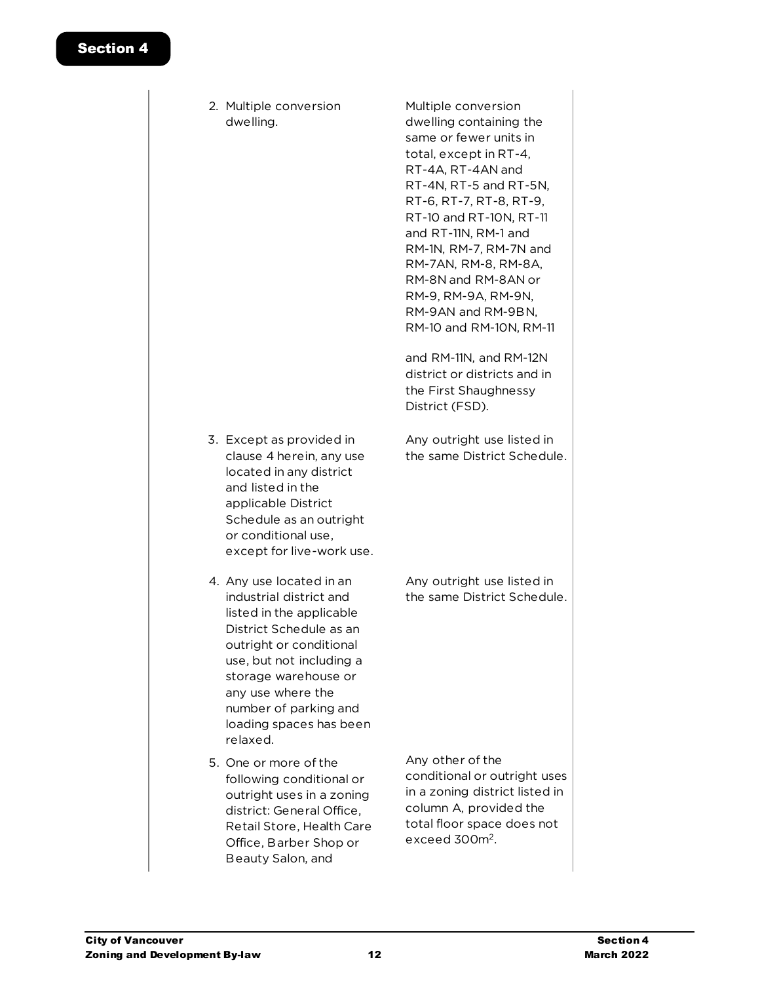2. Multiple conversion dwelling.

3. Except as provided in clause 4 herein, any use located in any district and listed in the applicable District Schedule as an outright or conditional use,

4. Any use located in an industrial district and listed in the applicable District Schedule as an outright or conditional use, but not including a storage warehouse or any use where the number of parking and loading spaces has been

relaxed.

5. One or more of the

following conditional or outright uses in a zoning district: General Office, Retail Store, Health Care Office, Barber Shop or Beauty Salon, and

Multiple conversion dwelling containing the same or fewer units in total, except in RT-4, RT-4A, RT-4AN and RT-4N, RT-5 and RT-5N, RT-6, RT-7, RT-8, RT-9, RT-10 and RT-10N, RT-11 and RT-11N, RM-1 and RM-1N, RM-7, RM-7N and RM-7AN, RM-8, RM-8A, RM-8N and RM-8AN or RM-9, RM-9A, RM-9N, RM-9AN and RM-9BN, RM-10 and RM-10N, RM-11

and RM-11N, and RM-12N district or districts and in the First Shaughnessy District (FSD).

- Any outright use listed in the same District Schedule.
- except for live-work use.

Any outright use listed in the same District Schedule.

Any other of the conditional or outright uses in a zoning district listed in column A, provided the total floor space does not exceed 300m<sup>2</sup>.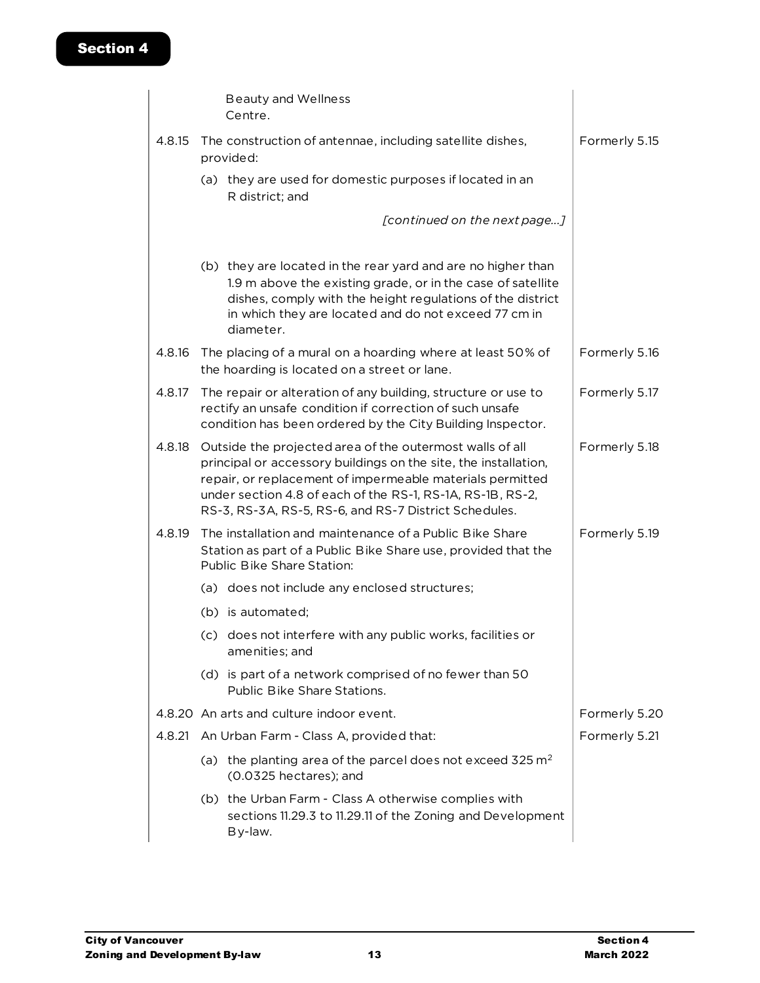|                                          |  | <b>Beauty and Wellness</b><br>Centre.                                                                                                                                                                                                                                                                           |               |
|------------------------------------------|--|-----------------------------------------------------------------------------------------------------------------------------------------------------------------------------------------------------------------------------------------------------------------------------------------------------------------|---------------|
| 4.8.15                                   |  | The construction of antennae, including satellite dishes,<br>provided:                                                                                                                                                                                                                                          | Formerly 5.15 |
|                                          |  | (a) they are used for domestic purposes if located in an<br>R district; and                                                                                                                                                                                                                                     |               |
|                                          |  | [continued on the next page]                                                                                                                                                                                                                                                                                    |               |
|                                          |  | (b) they are located in the rear yard and are no higher than<br>1.9 m above the existing grade, or in the case of satellite<br>dishes, comply with the height regulations of the district<br>in which they are located and do not exceed 77 cm in<br>diameter.                                                  |               |
| 4.8.16                                   |  | The placing of a mural on a hoarding where at least 50% of<br>the hoarding is located on a street or lane.                                                                                                                                                                                                      | Formerly 5.16 |
| 4.8.17                                   |  | The repair or alteration of any building, structure or use to<br>rectify an unsafe condition if correction of such unsafe<br>condition has been ordered by the City Building Inspector.                                                                                                                         | Formerly 5.17 |
| 4.8.18                                   |  | Outside the projected area of the outermost walls of all<br>principal or accessory buildings on the site, the installation,<br>repair, or replacement of impermeable materials permitted<br>under section 4.8 of each of the RS-1, RS-1A, RS-1B, RS-2,<br>RS-3, RS-3A, RS-5, RS-6, and RS-7 District Schedules. | Formerly 5.18 |
| 4.8.19                                   |  | The installation and maintenance of a Public Bike Share<br>Station as part of a Public Bike Share use, provided that the<br>Public Bike Share Station:                                                                                                                                                          | Formerly 5.19 |
|                                          |  | (a) does not include any enclosed structures;                                                                                                                                                                                                                                                                   |               |
|                                          |  | (b) is automated:                                                                                                                                                                                                                                                                                               |               |
|                                          |  | (c) does not interfere with any public works, facilities or<br>amenities; and                                                                                                                                                                                                                                   |               |
|                                          |  | (d) is part of a network comprised of no fewer than 50<br>Public Bike Share Stations.                                                                                                                                                                                                                           |               |
| 4.8.20 An arts and culture indoor event. |  | Formerly 5.20                                                                                                                                                                                                                                                                                                   |               |
|                                          |  | 4.8.21 An Urban Farm - Class A, provided that:                                                                                                                                                                                                                                                                  | Formerly 5.21 |
|                                          |  | (a) the planting area of the parcel does not exceed 325 $m2$<br>(0.0325 hectares); and                                                                                                                                                                                                                          |               |
|                                          |  | (b) the Urban Farm - Class A otherwise complies with<br>sections 11.29.3 to 11.29.11 of the Zoning and Development<br>By-law.                                                                                                                                                                                   |               |